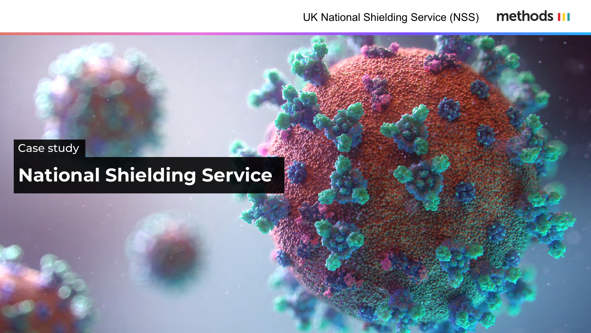# **National Shielding Service**

# Case study

### methods III UK National Shielding Service (NSS)



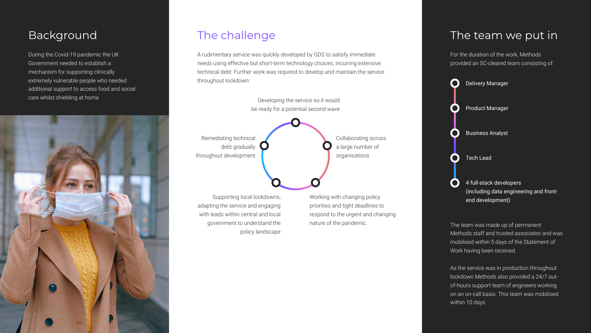During the Covid-19 pandemic the UK Government needed to establish a mechanism for supporting clinically extremely vulnerable people who needed additional support to access food and social care whilst shielding at home



within 10 days.



A rudimentary service was quickly developed by GDS to satisfy immediate needs using effective but short-term technology choices, incurring extensive technical debt. Further work was required to develop and maintain the service throughout lockdown:

Developing the service so it would be ready for a potential second wave

Remediating technical debt gradually throughout development

Supporting local lockdowns, adapting the service and engaging with leads within central and local government to understand the policy landscape Working with changing policy priorities and tight deadlines to respond to the urgent and changing nature of the pandemic.

Collaborating across a large number of organisations

Background The challenge The team we put in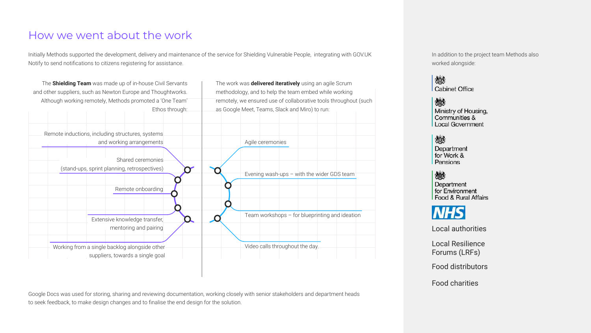## How we went about the work

Initially Methods supported the development, delivery and maintenance of the service for Shielding Vulnerable People, integrating with GOV.UK Notify to send notifications to citizens registering for assistance.

Google Docs was used for storing, sharing and reviewing documentation, working closely with senior stakeholders and department heads to seek feedback, to make design changes and to finalise the end design for the solution.

| Team workshops - for blueprinting and ideation |  |  |  |
|------------------------------------------------|--|--|--|
|                                                |  |  |  |
|                                                |  |  |  |
| Video calls throughout the day.                |  |  |  |
|                                                |  |  |  |

| The <b>Shielding Team</b> was made up of in-house Civil Servants                  | The work was delivered iteratively using an agi |
|-----------------------------------------------------------------------------------|-------------------------------------------------|
| and other suppliers, such as Newton Europe and Thoughtworks.                      | methodology, and to help the team embed while   |
| Although working remotely, Methods promoted a 'One Team'                          | remotely, we ensured use of collaborative tools |
| Ethos through:                                                                    | as Google Meet, Teams, Slack and Miro) to run:  |
| Remote inductions, including structures, systems                                  |                                                 |
| and working arrangements                                                          | Agile ceremonies                                |
| Shared ceremonies                                                                 |                                                 |
| (stand-ups, sprint planning, retrospectives)                                      | Evening wash-ups - with the wider               |
| Remote onboarding                                                                 |                                                 |
| Extensive knowledge transfer,                                                     | Team workshops - for blueprinting               |
| mentoring and pairing                                                             |                                                 |
| Working from a single backlog alongside other<br>suppliers, towards a single goal | Video calls throughout the day.                 |

| The work was <b>delivered iteratively</b> using an agile Scrum<br>methodology, and to help the team embed while working |                                              |  |  |  |
|-------------------------------------------------------------------------------------------------------------------------|----------------------------------------------|--|--|--|
| remotely, we ensured use of collaborative tools throughout (such                                                        |                                              |  |  |  |
| as Google Meet, Teams, Slack and Miro) to run:                                                                          |                                              |  |  |  |
|                                                                                                                         |                                              |  |  |  |
|                                                                                                                         |                                              |  |  |  |
|                                                                                                                         | Agile ceremonies                             |  |  |  |
|                                                                                                                         |                                              |  |  |  |
|                                                                                                                         |                                              |  |  |  |
|                                                                                                                         | Evening wash-ups $-$ with the wider GDS team |  |  |  |
|                                                                                                                         |                                              |  |  |  |

In addition to the project team Methods also worked alongside:



戀 Ministry of Housing,<br>Communities & Local Government

### 燃

Department for Work & Pensions

### 戀

Department for Environment Food & Rural Affairs

# **NHS**

Local authorities

Local Resilience Forums (LRFs)

Food distributors

Food charities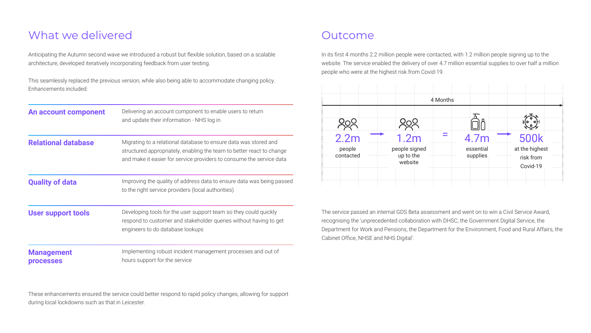# What we delivered and outcome

Anticipating the Autumn second wave we introduced a robust but flexible solution, based on a scalable architecture, developed iteratively incorporating feedback from user testing.

This seamlessly replaced the previous version, while also being able to accommodate changing policy. Enhancements included:

In its first 4 months 2.2 million people were contacted, with 1.2 million people signing up to the website. The service enabled the delivery of over 4.7 million essential supplies to over half a million people who were at the highest risk from Covid-19.

The service passed an internal GDS Beta assessment and went on to win a Civil Service Award, recognising the 'unprecedented collaboration with DHSC, the Government Digital Service, the Department for Work and Pensions, the Department for the Environment, Food and Rural Affairs, the Cabinet Office, NHSE and NHS Digital'.



| An account component                  | Delivering an account component to enable users to return<br>and update their information - NHS log in                                                                                                            |
|---------------------------------------|-------------------------------------------------------------------------------------------------------------------------------------------------------------------------------------------------------------------|
| <b>Relational database</b>            | Migrating to a relational database to ensure data was stored and<br>structured appropriately, enabling the team to better react to change<br>and make it easier for service providers to consume the service data |
| <b>Quality of data</b>                | Improving the quality of address data to ensure data was being passed<br>to the right service providers (local authorities)                                                                                       |
| <b>User support tools</b>             | Developing tools for the user support team so they could quickly<br>respond to customer and stakeholder queries without having to get<br>engineers to do database lookups                                         |
| <b>Management</b><br><b>processes</b> | Implementing robust incident management processes and out of<br>hours support for the service                                                                                                                     |

These enhancements ensured the service could better respond to rapid policy changes, allowing for support during local lockdowns such as that in Leicester.

|                     |                                       | 4 Months |                       |                                         |
|---------------------|---------------------------------------|----------|-----------------------|-----------------------------------------|
| 2.2m                | 1.2 <sub>m</sub>                      |          | 4.7m                  | <b>500k</b>                             |
| people<br>contacted | people signed<br>up to the<br>website |          | essential<br>supplies | at the highest<br>risk from<br>Covid-19 |